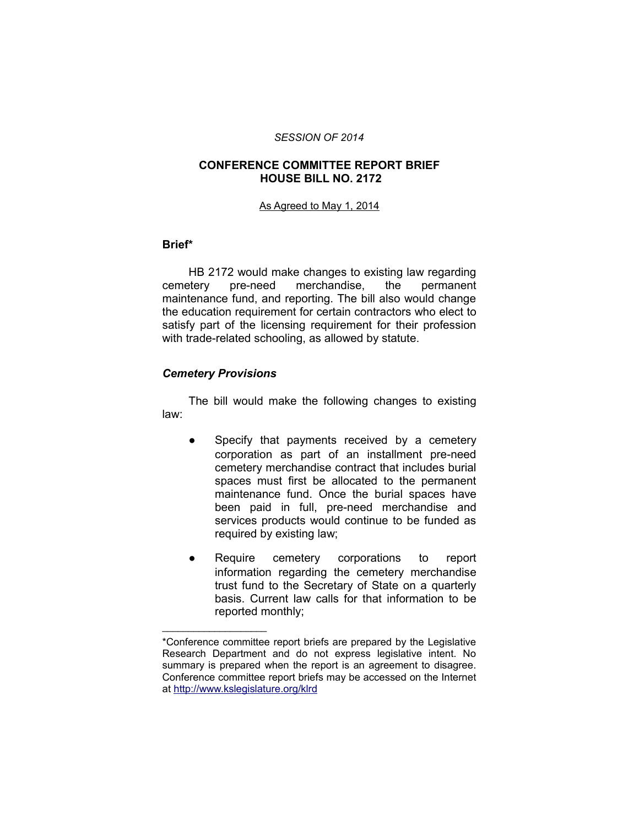#### *SESSION OF 2014*

## **CONFERENCE COMMITTEE REPORT BRIEF HOUSE BILL NO. 2172**

#### As Agreed to May 1, 2014

#### **Brief\***

HB 2172 would make changes to existing law regarding cemetery pre-need merchandise, the permanent maintenance fund, and reporting. The bill also would change the education requirement for certain contractors who elect to satisfy part of the licensing requirement for their profession with trade-related schooling, as allowed by statute.

## *Cemetery Provisions*

 $\mathcal{L}=\{1,2,3,4,5\}$ 

The bill would make the following changes to existing law:

- Specify that payments received by a cemetery corporation as part of an installment pre-need cemetery merchandise contract that includes burial spaces must first be allocated to the permanent maintenance fund. Once the burial spaces have been paid in full, pre-need merchandise and services products would continue to be funded as required by existing law;
- Require cemetery corporations to report information regarding the cemetery merchandise trust fund to the Secretary of State on a quarterly basis. Current law calls for that information to be reported monthly;

<sup>\*</sup>Conference committee report briefs are prepared by the Legislative Research Department and do not express legislative intent. No summary is prepared when the report is an agreement to disagree. Conference committee report briefs may be accessed on the Internet at<http://www.kslegislature.org/klrd>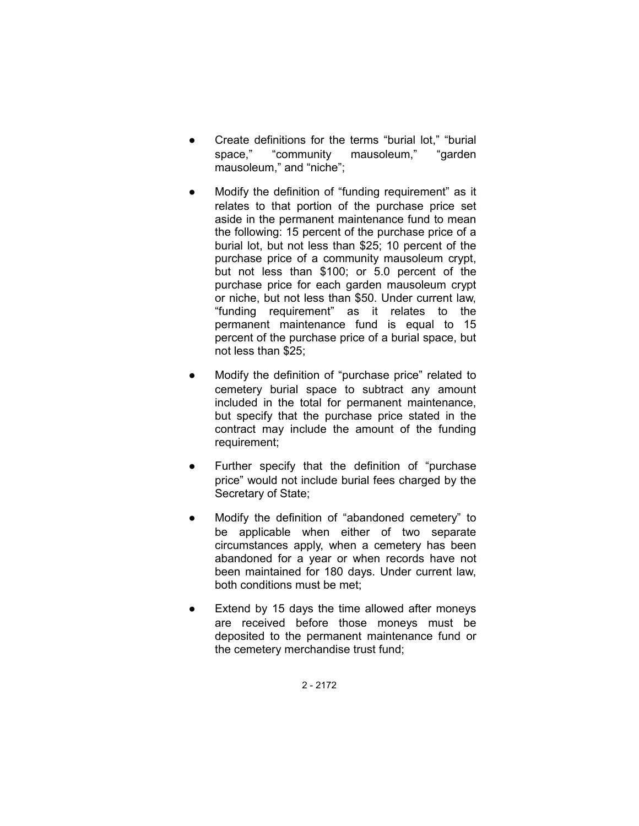- Create definitions for the terms "burial lot," "burial space," "community mausoleum," "garden mausoleum," and "niche";
- Modify the definition of "funding requirement" as it relates to that portion of the purchase price set aside in the permanent maintenance fund to mean the following: 15 percent of the purchase price of a burial lot, but not less than \$25; 10 percent of the purchase price of a community mausoleum crypt, but not less than \$100; or 5.0 percent of the purchase price for each garden mausoleum crypt or niche, but not less than \$50. Under current law, "funding requirement" as it relates to the permanent maintenance fund is equal to 15 percent of the purchase price of a burial space, but not less than \$25;
- Modify the definition of "purchase price" related to cemetery burial space to subtract any amount included in the total for permanent maintenance, but specify that the purchase price stated in the contract may include the amount of the funding requirement;
- Further specify that the definition of "purchase price" would not include burial fees charged by the Secretary of State;
- Modify the definition of "abandoned cemetery" to be applicable when either of two separate circumstances apply, when a cemetery has been abandoned for a year or when records have not been maintained for 180 days. Under current law, both conditions must be met;
- Extend by 15 days the time allowed after moneys are received before those moneys must be deposited to the permanent maintenance fund or the cemetery merchandise trust fund;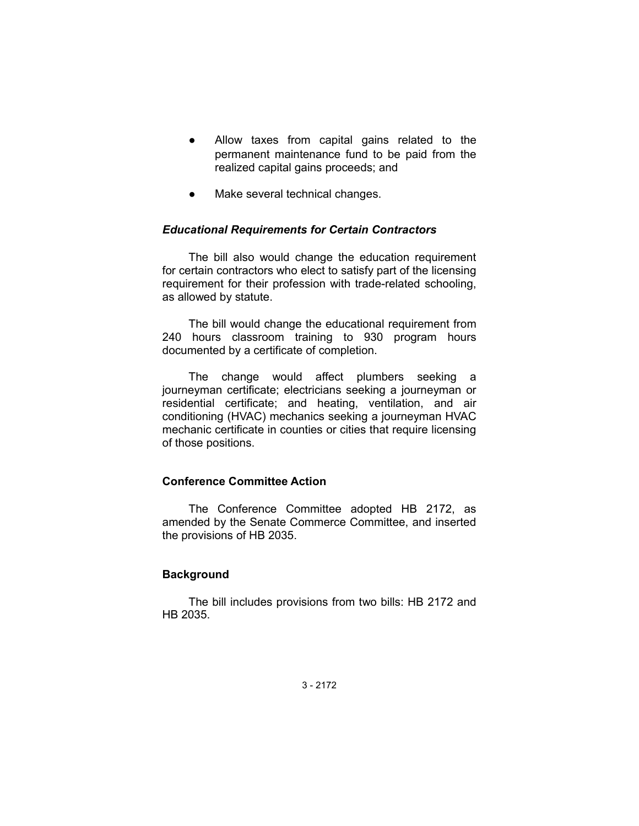- Allow taxes from capital gains related to the permanent maintenance fund to be paid from the realized capital gains proceeds; and
- Make several technical changes.

## *Educational Requirements for Certain Contractors*

The bill also would change the education requirement for certain contractors who elect to satisfy part of the licensing requirement for their profession with trade-related schooling, as allowed by statute.

The bill would change the educational requirement from 240 hours classroom training to 930 program hours documented by a certificate of completion.

The change would affect plumbers seeking a journeyman certificate; electricians seeking a journeyman or residential certificate; and heating, ventilation, and air conditioning (HVAC) mechanics seeking a journeyman HVAC mechanic certificate in counties or cities that require licensing of those positions.

## **Conference Committee Action**

The Conference Committee adopted HB 2172, as amended by the Senate Commerce Committee, and inserted the provisions of HB 2035.

#### **Background**

The bill includes provisions from two bills: HB 2172 and HB 2035.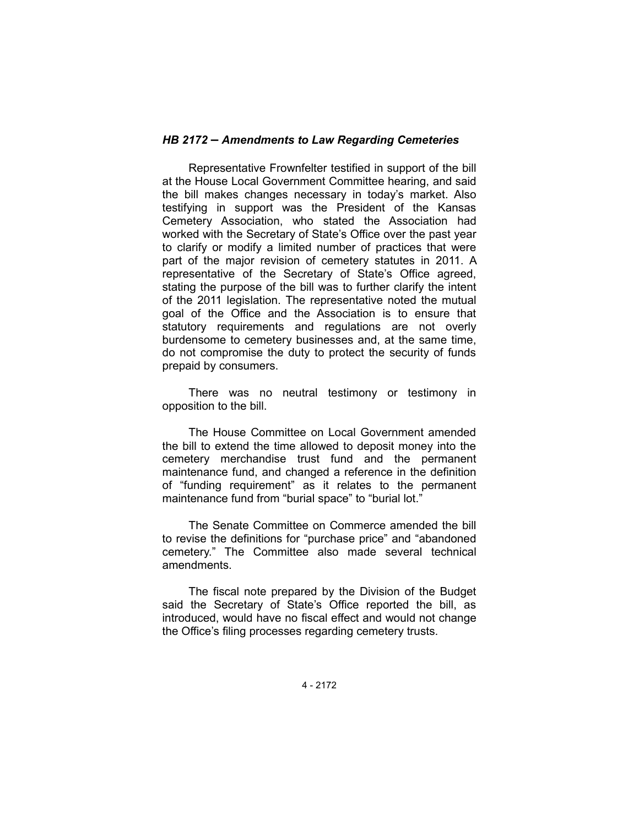### *HB 2172 – Amendments to Law Regarding Cemeteries*

Representative Frownfelter testified in support of the bill at the House Local Government Committee hearing, and said the bill makes changes necessary in today's market. Also testifying in support was the President of the Kansas Cemetery Association, who stated the Association had worked with the Secretary of State's Office over the past year to clarify or modify a limited number of practices that were part of the major revision of cemetery statutes in 2011. A representative of the Secretary of State's Office agreed, stating the purpose of the bill was to further clarify the intent of the 2011 legislation. The representative noted the mutual goal of the Office and the Association is to ensure that statutory requirements and regulations are not overly burdensome to cemetery businesses and, at the same time, do not compromise the duty to protect the security of funds prepaid by consumers.

There was no neutral testimony or testimony in opposition to the bill.

The House Committee on Local Government amended the bill to extend the time allowed to deposit money into the cemetery merchandise trust fund and the permanent maintenance fund, and changed a reference in the definition of "funding requirement" as it relates to the permanent maintenance fund from "burial space" to "burial lot."

The Senate Committee on Commerce amended the bill to revise the definitions for "purchase price" and "abandoned cemetery." The Committee also made several technical amendments.

The fiscal note prepared by the Division of the Budget said the Secretary of State's Office reported the bill, as introduced, would have no fiscal effect and would not change the Office's filing processes regarding cemetery trusts.

4 - 2172